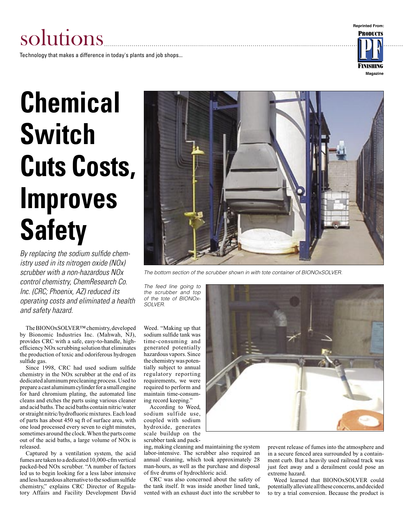#### **Reprinted From:**

# solutions

Technology that makes a difference in today's plants and job shops...

# **PRODUCTS Magazine**

# **Chemical Switch Cuts Costs, Improves Safety**

By replacing the sodium sulfide chemistry used in its nitrogen oxide (NOx) scrubber with a non-hazardous NOx control chemistry, ChemResearch Co. Inc. (CRC; Phoenix, AZ) reduced its operating costs and eliminated a health and safety hazard.

The BIONOxSOLVER™ chemistry, developed by Bionomic Industries Inc. (Mahwah, NJ), provides CRC with a safe, easy-to-handle, highefficiency NOx scrubbing solution that eliminates the production of toxic and odoriferous hydrogen sulfide gas.

Since 1998, CRC had used sodium sulfide chemistry in the NOx scrubber at the end of its dedicated aluminum precleaning process. Used to prepare a cast aluminum cylinder for a small engine for hard chromium plating, the automated line cleans and etches the parts using various cleaner and acid baths. The acid baths contain nitric/water or straight nitric/hydrofluoric mixtures. Each load of parts has about 450 sq ft of surface area, with one load processed every seven to eight minutes, sometimes around the clock. When the parts come out of the acid baths, a large volume of NOx is released.

Captured by a ventilation system, the acid fumes are taken to a dedicated 10,000-cfm vertical packed-bed NOx scrubber. "A number of factors led us to begin looking for a less labor intensive and less hazardous alternative to the sodium sulfide chemistry," explains CRC Director of Regulatory Affairs and Facility Development David



The bottom section of the scrubber shown in with tote container of BIONOxSOLVER.

The feed line going to the scrubber and top of the tote of BIONOx-SOLVER.

Weed. "Making up that sodium sulfide tank was time-consuming and generated potentially hazardous vapors. Since the chemistry was potentially subject to annual regulatory reporting requirements, we were required to perform and maintain time-consuming record keeping."

According to Weed, sodium sulfide use, coupled with sodium hydroxide, generates scale buildup on the scrubber tank and pack-

ing, making cleaning and maintaining the system labor-intensive. The scrubber also required an annual cleaning, which took approximately 28 man-hours, as well as the purchase and disposal of five drums of hydrochloric acid.

CRC was also concerned about the safety of the tank itself. It was inside another lined tank, vented with an exhaust duct into the scrubber to



prevent release of fumes into the atmosphere and in a secure fenced area surrounded by a containment curb. But a heavily used railroad track was just feet away and a derailment could pose an extreme hazard.

Weed learned that BIONOxSOLVER could potentially alleviate all these concerns, and decided to try a trial conversion. Because the product is